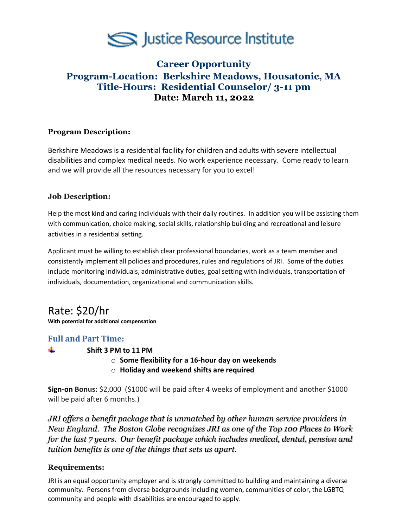

## **Career Opportunity Program-Location: Berkshire Meadows, Housatonic, MA Title-Hours: Residential Counselor/ 3-11 pm Date: March 11, 2022**

## **Program Description:**

Berkshire Meadows is a residential facility for children and adults with severe intellectual disabilities and complex medical needs. No work experience necessary. Come ready to learn and we will provide all the resources necessary for you to excel!

## **Job Description:**

Help the most kind and caring individuals with their daily routines. In addition you will be assisting them with communication, choice making, social skills, relationship building and recreational and leisure activities in a residential setting.

Applicant must be willing to establish clear professional boundaries, work as a team member and consistently implement all policies and procedures, rules and regulations of JRI. Some of the duties include monitoring individuals, administrative duties, goal setting with individuals, transportation of individuals, documentation, organizational and communication skills.

# Rate: \$20/hr

**With potential for additional compensation**

## **Full and Part Time:**

÷

#### **Shift 3 PM to 11 PM**

- o **Some flexibility for a 16-hour day on weekends**
- o **Holiday and weekend shifts are required**

**Sign-on Bonus:** \$2,000 (\$1000 will be paid after 4 weeks of employment and another \$1000 will be paid after 6 months.)

*JRI offers a benefit package that is unmatched by other human service providers in New England. The Boston Globe recognizes JRI as one of the Top 100 Places to Work for the last 7 years. Our benefit package which includes medical, dental, pension and tuition benefits is one of the things that sets us apart.*

#### **Requirements:**

JRI is an equal opportunity employer and is strongly committed to building and maintaining a diverse community. Persons from diverse backgrounds including women, communities of color, the LGBTQ community and people with disabilities are encouraged to apply.